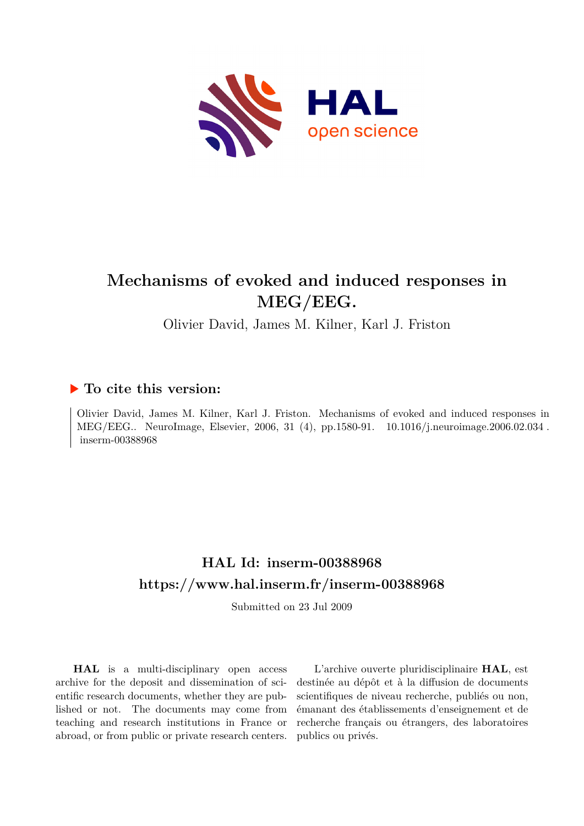

## **Mechanisms of evoked and induced responses in MEG/EEG.**

Olivier David, James M. Kilner, Karl J. Friston

### **To cite this version:**

Olivier David, James M. Kilner, Karl J. Friston. Mechanisms of evoked and induced responses in MEG/EEG.. NeuroImage, Elsevier, 2006, 31 (4), pp.1580-91. 10.1016/j.neuroimage.2006.02.034.  $inserm-00388968$ 

## **HAL Id: inserm-00388968 <https://www.hal.inserm.fr/inserm-00388968>**

Submitted on 23 Jul 2009

**HAL** is a multi-disciplinary open access archive for the deposit and dissemination of scientific research documents, whether they are published or not. The documents may come from teaching and research institutions in France or abroad, or from public or private research centers.

L'archive ouverte pluridisciplinaire **HAL**, est destinée au dépôt et à la diffusion de documents scientifiques de niveau recherche, publiés ou non, émanant des établissements d'enseignement et de recherche français ou étrangers, des laboratoires publics ou privés.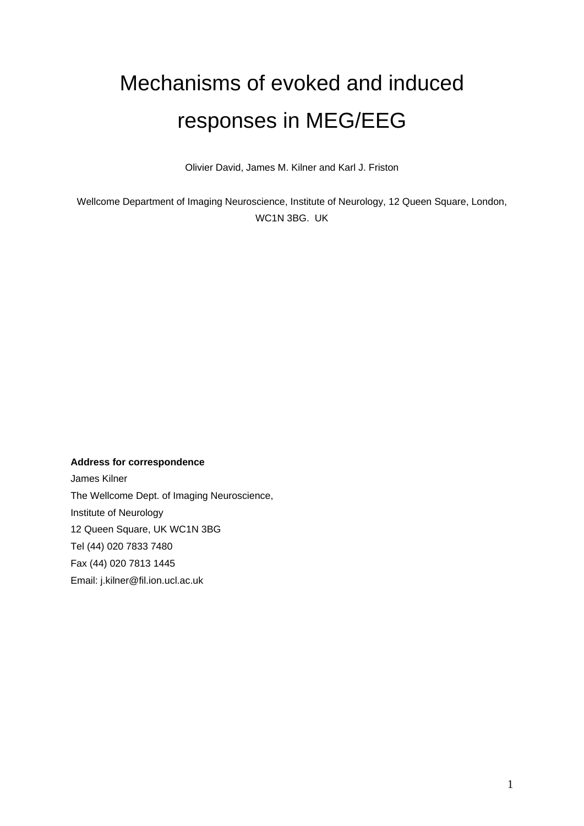# Mechanisms of evoked and induced responses in MEG/EEG

Olivier David, James M. Kilner and Karl J. Friston

Wellcome Department of Imaging Neuroscience, Institute of Neurology, 12 Queen Square, London, WC1N 3BG. UK

#### **Address for correspondence**

James Kilner The Wellcome Dept. of Imaging Neuroscience, Institute of Neurology 12 Queen Square, UK WC1N 3BG Tel (44) 020 7833 7480 Fax (44) 020 7813 1445 Email: j.kilner@fil.ion.ucl.ac.uk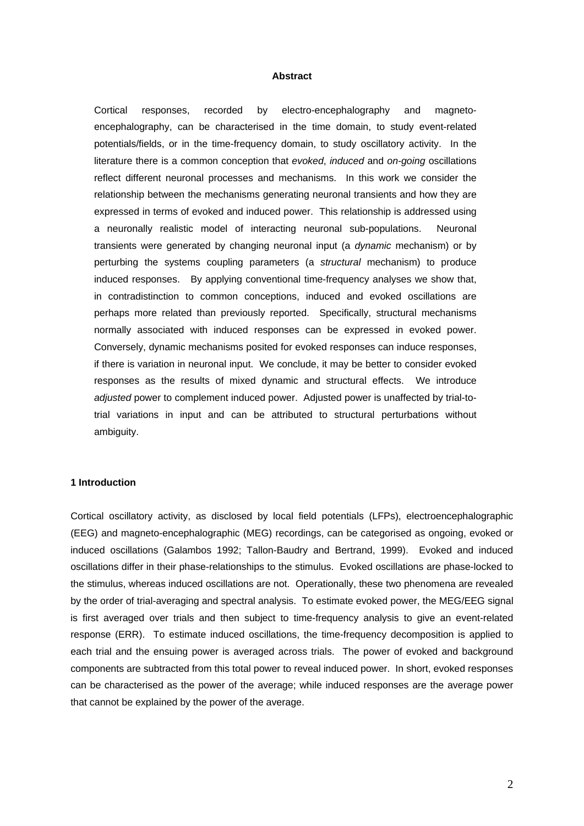#### **Abstract**

Cortical responses, recorded by electro-encephalography and magnetoencephalography, can be characterised in the time domain, to study event-related potentials/fields, or in the time-frequency domain, to study oscillatory activity. In the literature there is a common conception that *evoked*, *induced* and *on-going* oscillations reflect different neuronal processes and mechanisms. In this work we consider the relationship between the mechanisms generating neuronal transients and how they are expressed in terms of evoked and induced power. This relationship is addressed using a neuronally realistic model of interacting neuronal sub-populations. Neuronal transients were generated by changing neuronal input (a *dynamic* mechanism) or by perturbing the systems coupling parameters (a *structural* mechanism) to produce induced responses. By applying conventional time-frequency analyses we show that, in contradistinction to common conceptions, induced and evoked oscillations are perhaps more related than previously reported. Specifically, structural mechanisms normally associated with induced responses can be expressed in evoked power. Conversely, dynamic mechanisms posited for evoked responses can induce responses, if there is variation in neuronal input. We conclude, it may be better to consider evoked responses as the results of mixed dynamic and structural effects. We introduce *adjusted* power to complement induced power. Adjusted power is unaffected by trial-totrial variations in input and can be attributed to structural perturbations without ambiguity.

#### **1 Introduction**

Cortical oscillatory activity, as disclosed by local field potentials (LFPs), electroencephalographic (EEG) and magneto-encephalographic (MEG) recordings, can be categorised as ongoing, evoked or induced oscillations (Galambos 1992; Tallon-Baudry and Bertrand, 1999). Evoked and induced oscillations differ in their phase-relationships to the stimulus. Evoked oscillations are phase-locked to the stimulus, whereas induced oscillations are not. Operationally, these two phenomena are revealed by the order of trial-averaging and spectral analysis. To estimate evoked power, the MEG/EEG signal is first averaged over trials and then subject to time-frequency analysis to give an event-related response (ERR). To estimate induced oscillations, the time-frequency decomposition is applied to each trial and the ensuing power is averaged across trials. The power of evoked and background components are subtracted from this total power to reveal induced power. In short, evoked responses can be characterised as the power of the average; while induced responses are the average power that cannot be explained by the power of the average.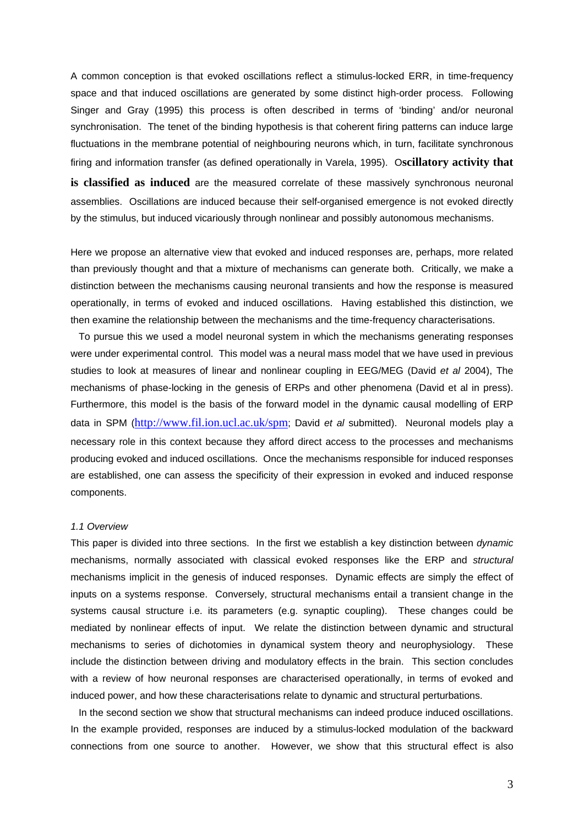A common conception is that evoked oscillations reflect a stimulus-locked ERR, in time-frequency space and that induced oscillations are generated by some distinct high-order process. Following Singer and Gray (1995) this process is often described in terms of 'binding' and/or neuronal synchronisation. The tenet of the binding hypothesis is that coherent firing patterns can induce large fluctuations in the membrane potential of neighbouring neurons which, in turn, facilitate synchronous firing and information transfer (as defined operationally in Varela, 1995). O**scillatory activity that is classified as induced** are the measured correlate of these massively synchronous neuronal assemblies. Oscillations are induced because their self-organised emergence is not evoked directly by the stimulus, but induced vicariously through nonlinear and possibly autonomous mechanisms.

Here we propose an alternative view that evoked and induced responses are, perhaps, more related than previously thought and that a mixture of mechanisms can generate both. Critically, we make a distinction between the mechanisms causing neuronal transients and how the response is measured operationally, in terms of evoked and induced oscillations. Having established this distinction, we then examine the relationship between the mechanisms and the time-frequency characterisations.

 To pursue this we used a model neuronal system in which the mechanisms generating responses were under experimental control. This model was a neural mass model that we have used in previous studies to look at measures of linear and nonlinear coupling in EEG/MEG (David *et al* 2004), The mechanisms of phase-locking in the genesis of ERPs and other phenomena (David et al in press). Furthermore, this model is the basis of the forward model in the dynamic causal modelling of ERP data in SPM (http://www.fil.ion.ucl.ac.uk/spm; David *et al* submitted). Neuronal models play a necessary role in this context because they afford direct access to the processes and mechanisms producing evoked and induced oscillations. Once the mechanisms responsible for induced responses are established, one can assess the specificity of their expression in evoked and induced response components.

#### *1.1 Overview*

This paper is divided into three sections. In the first we establish a key distinction between *dynamic*  mechanisms, normally associated with classical evoked responses like the ERP and *structural*  mechanisms implicit in the genesis of induced responses. Dynamic effects are simply the effect of inputs on a systems response. Conversely, structural mechanisms entail a transient change in the systems causal structure i.e. its parameters (e.g. synaptic coupling). These changes could be mediated by nonlinear effects of input. We relate the distinction between dynamic and structural mechanisms to series of dichotomies in dynamical system theory and neurophysiology. These include the distinction between driving and modulatory effects in the brain. This section concludes with a review of how neuronal responses are characterised operationally, in terms of evoked and induced power, and how these characterisations relate to dynamic and structural perturbations.

 In the second section we show that structural mechanisms can indeed produce induced oscillations. In the example provided, responses are induced by a stimulus-locked modulation of the backward connections from one source to another. However, we show that this structural effect is also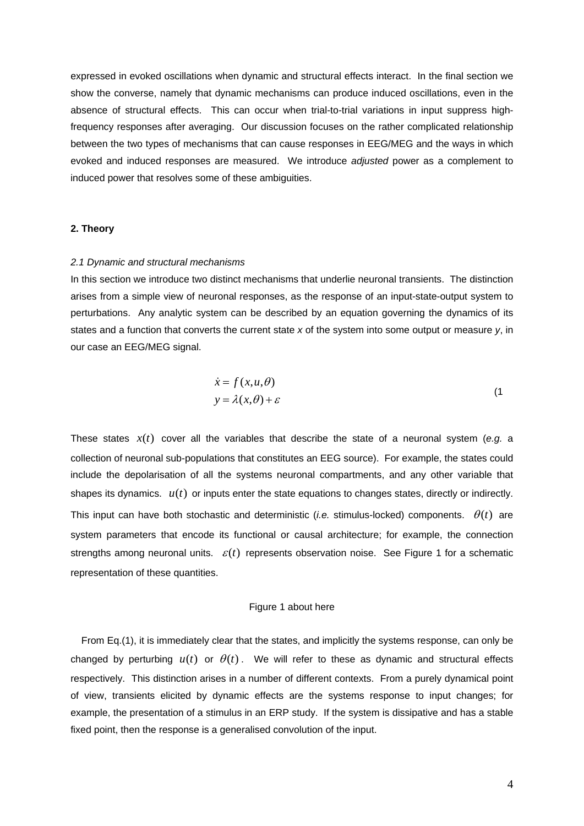expressed in evoked oscillations when dynamic and structural effects interact. In the final section we show the converse, namely that dynamic mechanisms can produce induced oscillations, even in the absence of structural effects. This can occur when trial-to-trial variations in input suppress highfrequency responses after averaging. Our discussion focuses on the rather complicated relationship between the two types of mechanisms that can cause responses in EEG/MEG and the ways in which evoked and induced responses are measured. We introduce *adjusted* power as a complement to induced power that resolves some of these ambiguities.

#### **2. Theory**

#### *2.1 Dynamic and structural mechanisms*

In this section we introduce two distinct mechanisms that underlie neuronal transients. The distinction arises from a simple view of neuronal responses, as the response of an input-state-output system to perturbations. Any analytic system can be described by an equation governing the dynamics of its states and a function that converts the current state *x* of the system into some output or measure *y*, in our case an EEG/MEG signal.

$$
\begin{aligned} \n\dot{x} &= f(x, u, \theta) \\ \ny &= \lambda(x, \theta) + \varepsilon \tag{1} \n\end{aligned}
$$

These states  $x(t)$  cover all the variables that describe the state of a neuronal system (*e.g.* a collection of neuronal sub-populations that constitutes an EEG source). For example, the states could include the depolarisation of all the systems neuronal compartments, and any other variable that shapes its dynamics. *u*(*t*) or inputs enter the state equations to changes states, directly or indirectly. This input can have both stochastic and deterministic (*i.e.* stimulus-locked) components.  $\theta(t)$  are system parameters that encode its functional or causal architecture; for example, the connection strengths among neuronal units.  $\varepsilon(t)$  represents observation noise. See Figure 1 for a schematic representation of these quantities.

#### Figure 1 about here

 From Eq.(1), it is immediately clear that the states, and implicitly the systems response, can only be changed by perturbing  $u(t)$  or  $\theta(t)$ . We will refer to these as dynamic and structural effects respectively. This distinction arises in a number of different contexts. From a purely dynamical point of view, transients elicited by dynamic effects are the systems response to input changes; for example, the presentation of a stimulus in an ERP study. If the system is dissipative and has a stable fixed point, then the response is a generalised convolution of the input.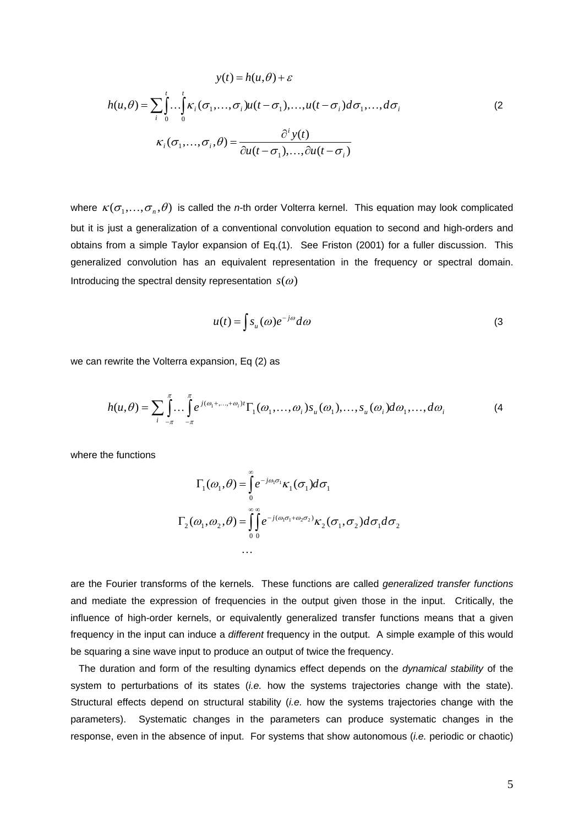$$
y(t) = h(u, \theta) + \varepsilon
$$
  
\n
$$
h(u, \theta) = \sum_{i} \int_{0}^{t} \dots \int_{0}^{t} K_{i}(\sigma_{1}, \dots, \sigma_{i}) u(t - \sigma_{1}), \dots, u(t - \sigma_{i}) d\sigma_{1}, \dots, d\sigma_{i}
$$
  
\n
$$
K_{i}(\sigma_{1}, \dots, \sigma_{i}, \theta) = \frac{\partial^{i} y(t)}{\partial u(t - \sigma_{1}), \dots, \partial u(t - \sigma_{i})}
$$
\n(2)

where  $\kappa(\sigma_1, ..., \sigma_n, \theta)$  is called the *n*-th order Volterra kernel. This equation may look complicated but it is just a generalization of a conventional convolution equation to second and high-orders and obtains from a simple Taylor expansion of Eq.(1). See Friston (2001) for a fuller discussion. This generalized convolution has an equivalent representation in the frequency or spectral domain. Introducing the spectral density representation  $s(\omega)$ 

$$
u(t) = \int s_u(\omega)e^{-j\omega}d\omega
$$
 (3)

we can rewrite the Volterra expansion, Eq (2) as

$$
h(u,\theta) = \sum_{i} \int_{-\pi}^{\pi} \dots \int_{-\pi}^{\pi} e^{j(\omega_1 + \dots + \omega_i)t} \Gamma_1(\omega_1, \dots, \omega_i) s_u(\omega_1), \dots, s_u(\omega_i) d\omega_1, \dots, d\omega_i
$$
 (4)

where the functions

$$
\Gamma_1(\omega_1, \theta) = \int_0^{\infty} e^{-j\omega_1 \sigma_1} \kappa_1(\sigma_1) d\sigma_1
$$

$$
\Gamma_2(\omega_1, \omega_2, \theta) = \int_0^{\infty} \int_0^{\infty} e^{-j(\omega_1 \sigma_1 + \omega_2 \sigma_2)} \kappa_2(\sigma_1, \sigma_2) d\sigma_1 d\sigma_2
$$

are the Fourier transforms of the kernels. These functions are called *generalized transfer functions* and mediate the expression of frequencies in the output given those in the input. Critically, the influence of high-order kernels, or equivalently generalized transfer functions means that a given frequency in the input can induce a *different* frequency in the output. A simple example of this would be squaring a sine wave input to produce an output of twice the frequency.

 The duration and form of the resulting dynamics effect depends on the *dynamical stability* of the system to perturbations of its states (*i.e.* how the systems trajectories change with the state). Structural effects depend on structural stability (*i.e.* how the systems trajectories change with the parameters). Systematic changes in the parameters can produce systematic changes in the response, even in the absence of input. For systems that show autonomous (*i.e.* periodic or chaotic)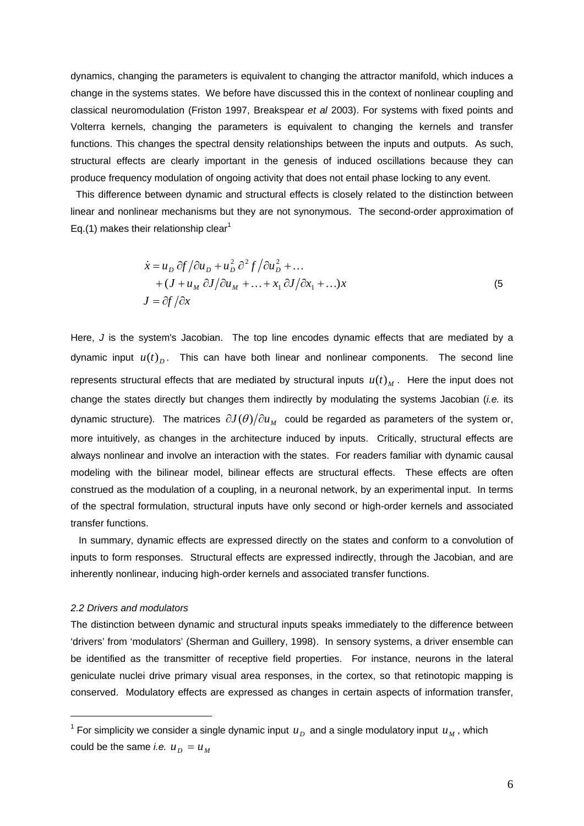dynamics, changing the parameters is equivalent to changing the attractor manifold, which induces a change in the systems states. We before have discussed this in the context of nonlinear coupling and classical neuromodulation (Friston 1997, Breakspear *et al* 2003). For systems with fixed points and Volterra kernels, changing the parameters is equivalent to changing the kernels and transfer functions. This changes the spectral density relationships between the inputs and outputs. As such, structural effects are clearly important in the genesis of induced oscillations because they can produce frequency modulation of ongoing activity that does not entail phase locking to any event.

 This difference between dynamic and structural effects is closely related to the distinction between linear and nonlinear mechanisms but they are not synonymous. The second-order approximation of Eq.(1) makes their relationship clear<sup>1</sup>

$$
\dot{x} = u_D \partial f / \partial u_D + u_D^2 \partial^2 f / \partial u_D^2 + \dots \n+ (J + u_M \partial J / \partial u_M + \dots + x_1 \partial J / \partial x_1 + \dots) x \nJ = \partial f / \partial x
$$
\n(5)

Here, *J* is the system's Jacobian. The top line encodes dynamic effects that are mediated by a dynamic input  $u(t)_p$ . This can have both linear and nonlinear components. The second line represents structural effects that are mediated by structural inputs  $u(t)_{M}$ . Here the input does not change the states directly but changes them indirectly by modulating the systems Jacobian (*i.e.* its dynamic structure). The matrices  $\partial J(\theta)/\partial u_{M}$  could be regarded as parameters of the system or, more intuitively, as changes in the architecture induced by inputs. Critically, structural effects are always nonlinear and involve an interaction with the states. For readers familiar with dynamic causal modeling with the bilinear model, bilinear effects are structural effects. These effects are often construed as the modulation of a coupling, in a neuronal network, by an experimental input. In terms of the spectral formulation, structural inputs have only second or high-order kernels and associated transfer functions.

 In summary, dynamic effects are expressed directly on the states and conform to a convolution of inputs to form responses. Structural effects are expressed indirectly, through the Jacobian, and are inherently nonlinear, inducing high-order kernels and associated transfer functions.

#### *2.2 Drivers and modulators*

1

The distinction between dynamic and structural inputs speaks immediately to the difference between 'drivers' from 'modulators' (Sherman and Guillery, 1998). In sensory systems, a driver ensemble can be identified as the transmitter of receptive field properties. For instance, neurons in the lateral geniculate nuclei drive primary visual area responses, in the cortex, so that retinotopic mapping is conserved. Modulatory effects are expressed as changes in certain aspects of information transfer,

<sup>&</sup>lt;sup>1</sup> For simplicity we consider a single dynamic input  $u_D^-$  and a single modulatory input  $u_M^{}$  , which could be the same *i.e.*  $u<sub>D</sub> = u<sub>M</sub>$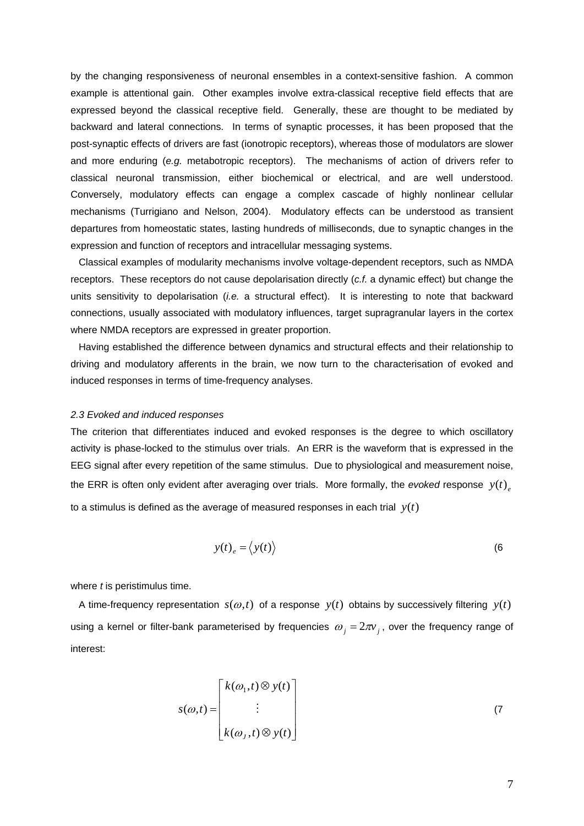by the changing responsiveness of neuronal ensembles in a context-sensitive fashion. A common example is attentional gain. Other examples involve extra-classical receptive field effects that are expressed beyond the classical receptive field. Generally, these are thought to be mediated by backward and lateral connections. In terms of synaptic processes, it has been proposed that the post-synaptic effects of drivers are fast (ionotropic receptors), whereas those of modulators are slower and more enduring (*e.g.* metabotropic receptors). The mechanisms of action of drivers refer to classical neuronal transmission, either biochemical or electrical, and are well understood. Conversely, modulatory effects can engage a complex cascade of highly nonlinear cellular mechanisms (Turrigiano and Nelson, 2004). Modulatory effects can be understood as transient departures from homeostatic states, lasting hundreds of milliseconds, due to synaptic changes in the expression and function of receptors and intracellular messaging systems.

 Classical examples of modularity mechanisms involve voltage-dependent receptors, such as NMDA receptors. These receptors do not cause depolarisation directly (*c.f.* a dynamic effect) but change the units sensitivity to depolarisation (*i.e.* a structural effect). It is interesting to note that backward connections, usually associated with modulatory influences, target supragranular layers in the cortex where NMDA receptors are expressed in greater proportion.

 Having established the difference between dynamics and structural effects and their relationship to driving and modulatory afferents in the brain, we now turn to the characterisation of evoked and induced responses in terms of time-frequency analyses.

#### *2.3 Evoked and induced responses*

The criterion that differentiates induced and evoked responses is the degree to which oscillatory activity is phase-locked to the stimulus over trials. An ERR is the waveform that is expressed in the EEG signal after every repetition of the same stimulus. Due to physiological and measurement noise, the ERR is often only evident after averaging over trials. More formally, the *evoked* response  $y(t)$ to a stimulus is defined as the average of measured responses in each trial  $y(t)$ 

$$
y(t)_{e} = \langle y(t) \rangle \tag{6}
$$

where *t* is peristimulus time.

A time-frequency representation  $s(\omega,t)$  of a response  $y(t)$  obtains by successively filtering  $y(t)$ using a kernel or filter-bank parameterised by frequencies  $\omega_i = 2\pi v_i$ , over the frequency range of interest:

$$
s(\omega, t) = \begin{bmatrix} k(\omega_1, t) \otimes y(t) \\ \vdots \\ k(\omega_J, t) \otimes y(t) \end{bmatrix}
$$
 (7)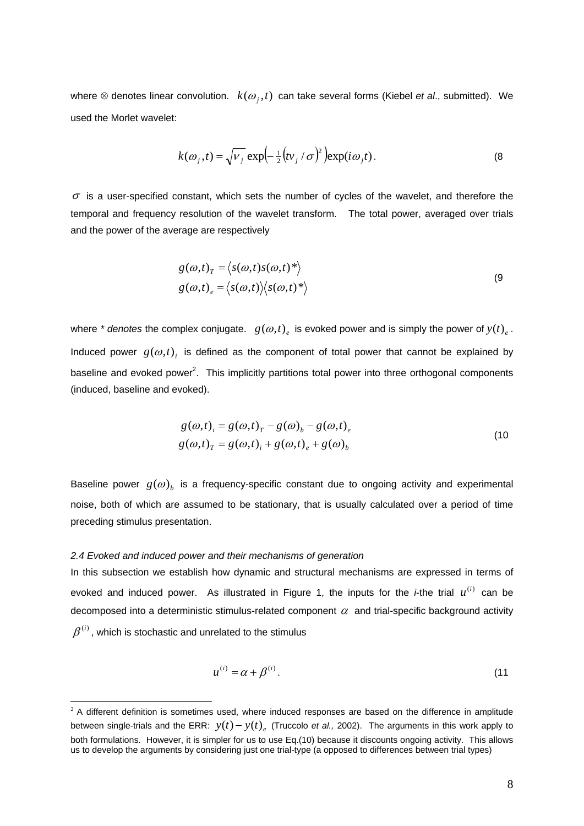where  $\otimes$  denotes linear convolution.  $k(\omega_i, t)$  can take several forms (Kiebel *et al.*, submitted). We used the Morlet wavelet:

$$
k(\omega_j, t) = \sqrt{\nu_j} \exp\left(-\frac{1}{2} \left(t\nu_j / \sigma\right)^2\right) \exp(i\omega_j t).
$$
 (8)

 $\sigma$  is a user-specified constant, which sets the number of cycles of the wavelet, and therefore the temporal and frequency resolution of the wavelet transform. The total power, averaged over trials and the power of the average are respectively

$$
g(\omega,t)_T = \langle s(\omega,t)s(\omega,t)^* \rangle
$$
  
 
$$
g(\omega,t)_e = \langle s(\omega,t) \rangle \langle s(\omega,t)^* \rangle
$$
 (9)

where *\** denotes the complex conjugate.  $g(\omega,t)$  is evoked power and is simply the power of  $y(t)$ . Induced power  $g(\omega,t)$ , is defined as the component of total power that cannot be explained by baseline and evoked power<sup>2</sup>. This implicitly partitions total power into three orthogonal components (induced, baseline and evoked).

$$
g(\omega, t)_i = g(\omega, t)_T - g(\omega)_b - g(\omega, t)_e
$$
  
 
$$
g(\omega, t)_T = g(\omega, t)_i + g(\omega, t)_e + g(\omega)_b
$$
 (10)

Baseline power  $g(\omega)_b$  is a frequency-specific constant due to ongoing activity and experimental noise, both of which are assumed to be stationary, that is usually calculated over a period of time preceding stimulus presentation.

#### *2.4 Evoked and induced power and their mechanisms of generation*

<u>.</u>

In this subsection we establish how dynamic and structural mechanisms are expressed in terms of evoked and induced power. As illustrated in Figure 1, the inputs for the *i*-the trial  $u^{(i)}$  can be decomposed into a deterministic stimulus-related component  $\alpha$  and trial-specific background activity  $\beta^{(i)}$ , which is stochastic and unrelated to the stimulus

$$
u^{(i)} = \alpha + \beta^{(i)}.
$$
\n<sup>(11)</sup>

 $2$  A different definition is sometimes used, where induced responses are based on the difference in amplitude between single-trials and the ERR:  $y(t) - y(t)$  (Truccolo *et al.,* 2002). The arguments in this work apply to both formulations. However, it is simpler for us to use Eq.(10) because it discounts ongoing activity. This allows us to develop the arguments by considering just one trial-type (a opposed to differences between trial types)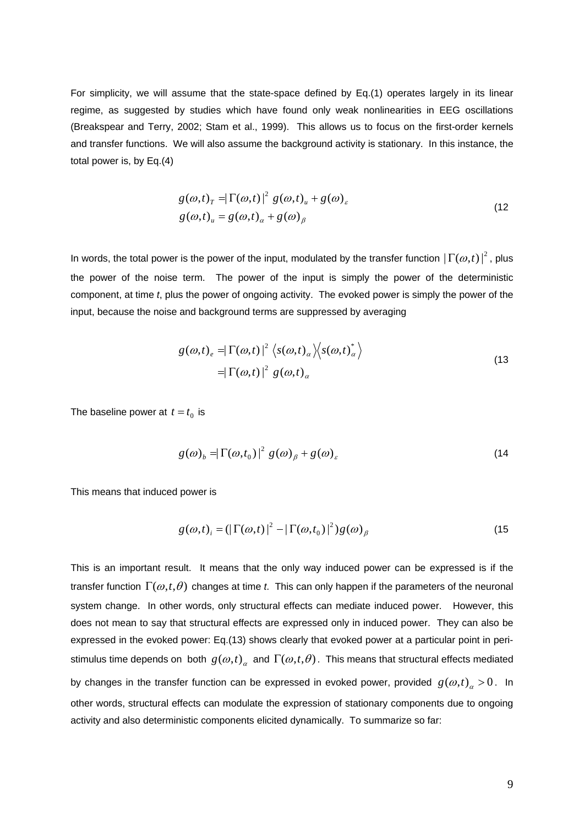For simplicity, we will assume that the state-space defined by Eq.(1) operates largely in its linear regime, as suggested by studies which have found only weak nonlinearities in EEG oscillations (Breakspear and Terry, 2002; Stam et al., 1999). This allows us to focus on the first-order kernels and transfer functions. We will also assume the background activity is stationary. In this instance, the total power is, by Eq.(4)

$$
g(\omega, t)_T = |\Gamma(\omega, t)|^2 g(\omega, t)_u + g(\omega)_\varepsilon
$$
  
 
$$
g(\omega, t)_u = g(\omega, t)_\alpha + g(\omega)_\beta
$$
 (12)

In words, the total power is the power of the input, modulated by the transfer function  $|\Gamma(\omega,t)|^2$ , plus the power of the noise term. The power of the input is simply the power of the deterministic component, at time *t*, plus the power of ongoing activity. The evoked power is simply the power of the input, because the noise and background terms are suppressed by averaging

$$
g(\omega, t)_{e} = \left| \Gamma(\omega, t) \right|^{2} \left\langle s(\omega, t)_{\alpha} \right\rangle \left\langle s(\omega, t) \right|_{\alpha}^{*} \left\langle s(\omega, t) \right\rangle
$$
  
=  $\left| \Gamma(\omega, t) \right|^{2} g(\omega, t)_{\alpha}$  (13)

The baseline power at  $t = t_0$  is

$$
g(\omega)_b = \left| \Gamma(\omega, t_0) \right|^2 \, g(\omega)_\beta + g(\omega)_\varepsilon \tag{14}
$$

This means that induced power is

$$
g(\omega, t)_{i} = (|\Gamma(\omega, t)|^{2} - |\Gamma(\omega, t_{0})|^{2})g(\omega)_{\beta}
$$
\n(15)

This is an important result. It means that the only way induced power can be expressed is if the transfer function  $\Gamma(\omega, t, \theta)$  changes at time *t*. This can only happen if the parameters of the neuronal system change. In other words, only structural effects can mediate induced power. However, this does not mean to say that structural effects are expressed only in induced power. They can also be expressed in the evoked power: Eq.(13) shows clearly that evoked power at a particular point in peristimulus time depends on both  $g(\omega, t)$ <sub>a</sub> and  $\Gamma(\omega, t, \theta)$ . This means that structural effects mediated by changes in the transfer function can be expressed in evoked power, provided  $g(\omega,t)_{\alpha} > 0$ . In other words, structural effects can modulate the expression of stationary components due to ongoing activity and also deterministic components elicited dynamically. To summarize so far: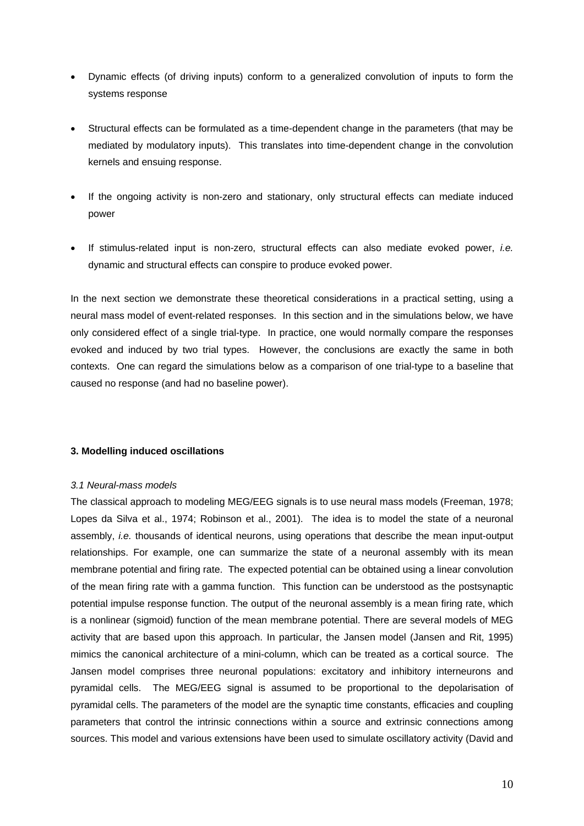- Dynamic effects (of driving inputs) conform to a generalized convolution of inputs to form the systems response
- Structural effects can be formulated as a time-dependent change in the parameters (that may be mediated by modulatory inputs). This translates into time-dependent change in the convolution kernels and ensuing response.
- If the ongoing activity is non-zero and stationary, only structural effects can mediate induced power
- If stimulus-related input is non-zero, structural effects can also mediate evoked power, *i.e.*  dynamic and structural effects can conspire to produce evoked power.

In the next section we demonstrate these theoretical considerations in a practical setting, using a neural mass model of event-related responses. In this section and in the simulations below, we have only considered effect of a single trial-type. In practice, one would normally compare the responses evoked and induced by two trial types. However, the conclusions are exactly the same in both contexts. One can regard the simulations below as a comparison of one trial-type to a baseline that caused no response (and had no baseline power).

#### **3. Modelling induced oscillations**

#### *3.1 Neural-mass models*

The classical approach to modeling MEG/EEG signals is to use neural mass models (Freeman, 1978; Lopes da Silva et al., 1974; Robinson et al., 2001). The idea is to model the state of a neuronal assembly, *i.e.* thousands of identical neurons, using operations that describe the mean input-output relationships. For example, one can summarize the state of a neuronal assembly with its mean membrane potential and firing rate. The expected potential can be obtained using a linear convolution of the mean firing rate with a gamma function. This function can be understood as the postsynaptic potential impulse response function. The output of the neuronal assembly is a mean firing rate, which is a nonlinear (sigmoid) function of the mean membrane potential. There are several models of MEG activity that are based upon this approach. In particular, the Jansen model (Jansen and Rit, 1995) mimics the canonical architecture of a mini-column, which can be treated as a cortical source. The Jansen model comprises three neuronal populations: excitatory and inhibitory interneurons and pyramidal cells. The MEG/EEG signal is assumed to be proportional to the depolarisation of pyramidal cells. The parameters of the model are the synaptic time constants, efficacies and coupling parameters that control the intrinsic connections within a source and extrinsic connections among sources. This model and various extensions have been used to simulate oscillatory activity (David and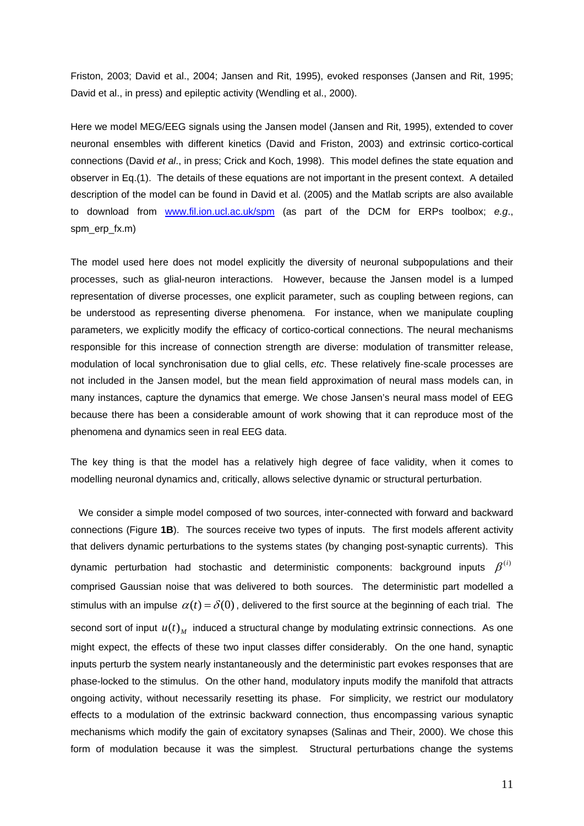Friston, 2003; David et al., 2004; Jansen and Rit, 1995), evoked responses (Jansen and Rit, 1995; David et al., in press) and epileptic activity (Wendling et al., 2000).

Here we model MEG/EEG signals using the Jansen model (Jansen and Rit, 1995), extended to cover neuronal ensembles with different kinetics (David and Friston, 2003) and extrinsic cortico-cortical connections (David *et al*., in press; Crick and Koch, 1998). This model defines the state equation and observer in Eq.(1). The details of these equations are not important in the present context. A detailed description of the model can be found in David et al. (2005) and the Matlab scripts are also available to download from www.fil.ion.ucl.ac.uk/spm (as part of the DCM for ERPs toolbox; *e.g*., spm\_erp\_fx.m)

The model used here does not model explicitly the diversity of neuronal subpopulations and their processes, such as glial-neuron interactions. However, because the Jansen model is a lumped representation of diverse processes, one explicit parameter, such as coupling between regions, can be understood as representing diverse phenomena. For instance, when we manipulate coupling parameters, we explicitly modify the efficacy of cortico-cortical connections. The neural mechanisms responsible for this increase of connection strength are diverse: modulation of transmitter release, modulation of local synchronisation due to glial cells, *etc*. These relatively fine-scale processes are not included in the Jansen model, but the mean field approximation of neural mass models can, in many instances, capture the dynamics that emerge. We chose Jansen's neural mass model of EEG because there has been a considerable amount of work showing that it can reproduce most of the phenomena and dynamics seen in real EEG data.

The key thing is that the model has a relatively high degree of face validity, when it comes to modelling neuronal dynamics and, critically, allows selective dynamic or structural perturbation.

 We consider a simple model composed of two sources, inter-connected with forward and backward connections (Figure **1B**). The sources receive two types of inputs. The first models afferent activity that delivers dynamic perturbations to the systems states (by changing post-synaptic currents). This dynamic perturbation had stochastic and deterministic components: background inputs  $\beta^{(i)}$ comprised Gaussian noise that was delivered to both sources. The deterministic part modelled a stimulus with an impulse  $\alpha(t) = \delta(0)$ , delivered to the first source at the beginning of each trial. The second sort of input  $u(t)$ <sub>M</sub> induced a structural change by modulating extrinsic connections. As one might expect, the effects of these two input classes differ considerably. On the one hand, synaptic inputs perturb the system nearly instantaneously and the deterministic part evokes responses that are phase-locked to the stimulus. On the other hand, modulatory inputs modify the manifold that attracts ongoing activity, without necessarily resetting its phase. For simplicity, we restrict our modulatory effects to a modulation of the extrinsic backward connection, thus encompassing various synaptic mechanisms which modify the gain of excitatory synapses (Salinas and Their, 2000). We chose this form of modulation because it was the simplest. Structural perturbations change the systems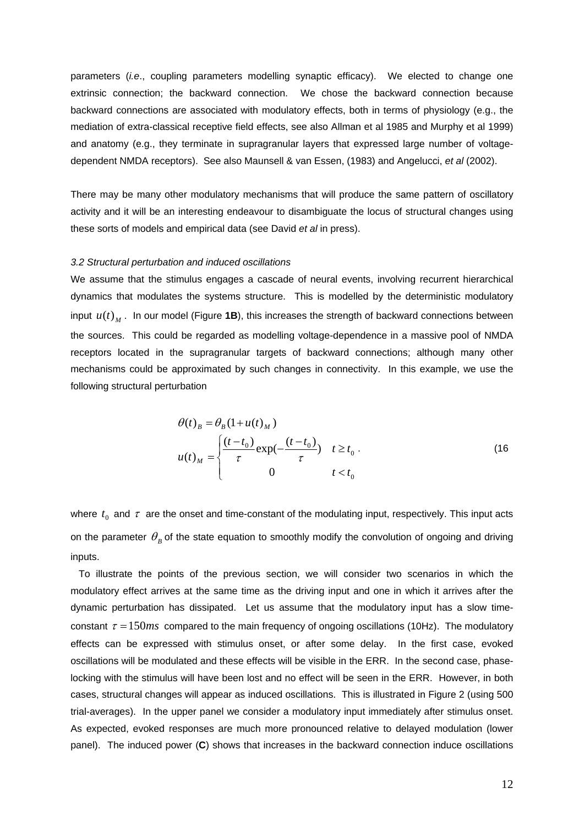parameters (*i.e*., coupling parameters modelling synaptic efficacy). We elected to change one extrinsic connection; the backward connection. We chose the backward connection because backward connections are associated with modulatory effects, both in terms of physiology (e.g., the mediation of extra-classical receptive field effects, see also Allman et al 1985 and Murphy et al 1999) and anatomy (e.g., they terminate in supragranular layers that expressed large number of voltagedependent NMDA receptors). See also Maunsell & van Essen, (1983) and Angelucci, *et al* (2002).

There may be many other modulatory mechanisms that will produce the same pattern of oscillatory activity and it will be an interesting endeavour to disambiguate the locus of structural changes using these sorts of models and empirical data (see David *et al* in press).

#### *3.2 Structural perturbation and induced oscillations*

We assume that the stimulus engages a cascade of neural events, involving recurrent hierarchical dynamics that modulates the systems structure. This is modelled by the deterministic modulatory input  $u(t)$ <sub>M</sub>. In our model (Figure 1B), this increases the strength of backward connections between the sources. This could be regarded as modelling voltage-dependence in a massive pool of NMDA receptors located in the supragranular targets of backward connections; although many other mechanisms could be approximated by such changes in connectivity. In this example, we use the following structural perturbation

$$
\theta(t)_B = \theta_B (1 + u(t)_M)
$$
  
\n
$$
u(t)_M = \begin{cases}\n\frac{(t - t_0)}{\tau} \exp(-\frac{(t - t_0)}{\tau}) & t \ge t_0 \\
0 & t < t_0\n\end{cases}
$$
\n(16)

where  $t_0$  and  $\tau$  are the onset and time-constant of the modulating input, respectively. This input acts on the parameter  $\theta_{B}$  of the state equation to smoothly modify the convolution of ongoing and driving inputs.

 To illustrate the points of the previous section, we will consider two scenarios in which the modulatory effect arrives at the same time as the driving input and one in which it arrives after the dynamic perturbation has dissipated. Let us assume that the modulatory input has a slow timeconstant  $\tau = 150$ *ms* compared to the main frequency of ongoing oscillations (10Hz). The modulatory effects can be expressed with stimulus onset, or after some delay. In the first case, evoked oscillations will be modulated and these effects will be visible in the ERR. In the second case, phaselocking with the stimulus will have been lost and no effect will be seen in the ERR. However, in both cases, structural changes will appear as induced oscillations. This is illustrated in Figure 2 (using 500 trial-averages). In the upper panel we consider a modulatory input immediately after stimulus onset. As expected, evoked responses are much more pronounced relative to delayed modulation (lower panel). The induced power (**C**) shows that increases in the backward connection induce oscillations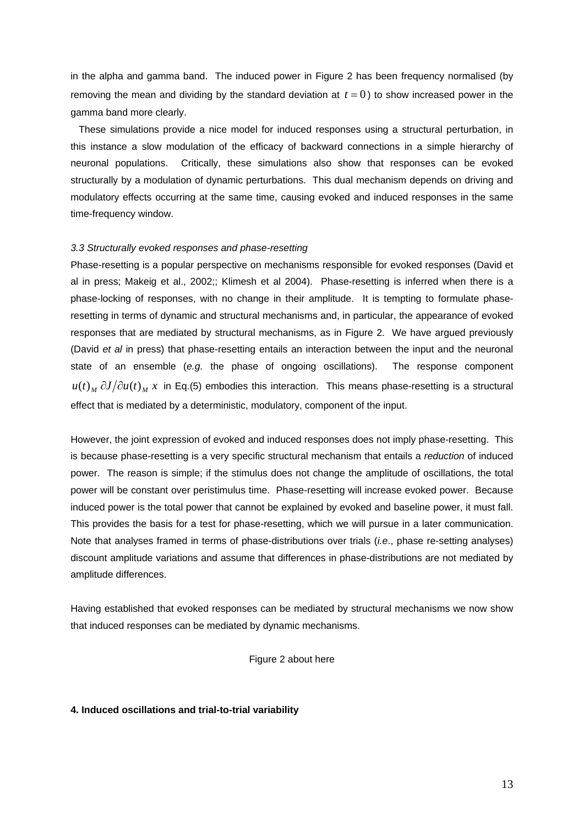in the alpha and gamma band. The induced power in Figure 2 has been frequency normalised (by removing the mean and dividing by the standard deviation at  $t = 0$ ) to show increased power in the gamma band more clearly.

 These simulations provide a nice model for induced responses using a structural perturbation, in this instance a slow modulation of the efficacy of backward connections in a simple hierarchy of neuronal populations. Critically, these simulations also show that responses can be evoked structurally by a modulation of dynamic perturbations. This dual mechanism depends on driving and modulatory effects occurring at the same time, causing evoked and induced responses in the same time-frequency window.

#### *3.3 Structurally evoked responses and phase-resetting*

Phase-resetting is a popular perspective on mechanisms responsible for evoked responses (David et al in press; Makeig et al., 2002;; Klimesh et al 2004). Phase-resetting is inferred when there is a phase-locking of responses, with no change in their amplitude. It is tempting to formulate phaseresetting in terms of dynamic and structural mechanisms and, in particular, the appearance of evoked responses that are mediated by structural mechanisms, as in Figure 2. We have argued previously (David *et al* in press) that phase-resetting entails an interaction between the input and the neuronal state of an ensemble (*e.g.* the phase of ongoing oscillations). The response component  $u(t)$ <sub>M</sub>  $\partial J/\partial u(t)$ <sub>M</sub> x in Eq.(5) embodies this interaction. This means phase-resetting is a structural effect that is mediated by a deterministic, modulatory, component of the input.

However, the joint expression of evoked and induced responses does not imply phase-resetting. This is because phase-resetting is a very specific structural mechanism that entails a *reduction* of induced power. The reason is simple; if the stimulus does not change the amplitude of oscillations, the total power will be constant over peristimulus time. Phase-resetting will increase evoked power. Because induced power is the total power that cannot be explained by evoked and baseline power, it must fall. This provides the basis for a test for phase-resetting, which we will pursue in a later communication. Note that analyses framed in terms of phase-distributions over trials (*i.e*., phase re-setting analyses) discount amplitude variations and assume that differences in phase-distributions are not mediated by amplitude differences.

Having established that evoked responses can be mediated by structural mechanisms we now show that induced responses can be mediated by dynamic mechanisms.

Figure 2 about here

#### **4. Induced oscillations and trial-to-trial variability**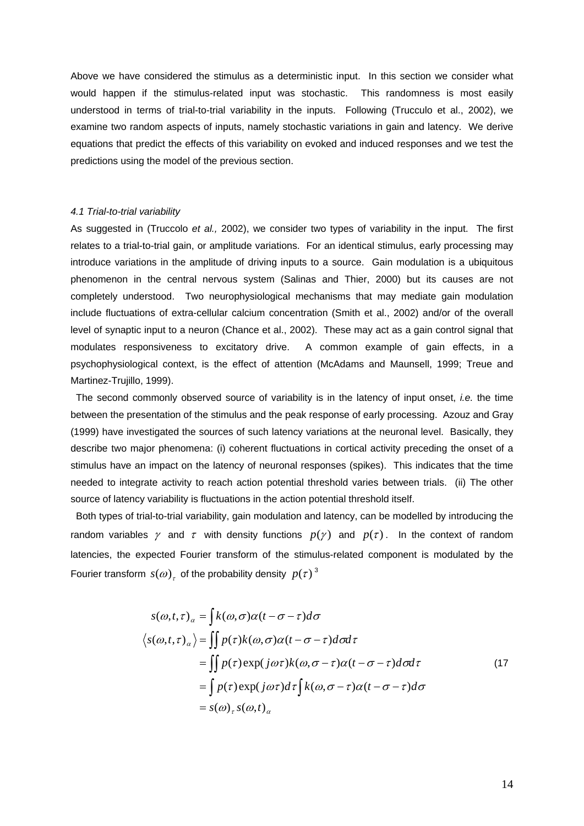Above we have considered the stimulus as a deterministic input. In this section we consider what would happen if the stimulus-related input was stochastic. This randomness is most easily understood in terms of trial-to-trial variability in the inputs. Following (Trucculo et al., 2002), we examine two random aspects of inputs, namely stochastic variations in gain and latency. We derive equations that predict the effects of this variability on evoked and induced responses and we test the predictions using the model of the previous section.

#### *4.1 Trial-to-trial variability*

As suggested in (Truccolo *et al.,* 2002), we consider two types of variability in the input. The first relates to a trial-to-trial gain, or amplitude variations. For an identical stimulus, early processing may introduce variations in the amplitude of driving inputs to a source. Gain modulation is a ubiquitous phenomenon in the central nervous system (Salinas and Thier, 2000) but its causes are not completely understood. Two neurophysiological mechanisms that may mediate gain modulation include fluctuations of extra-cellular calcium concentration (Smith et al., 2002) and/or of the overall level of synaptic input to a neuron (Chance et al., 2002). These may act as a gain control signal that modulates responsiveness to excitatory drive. A common example of gain effects, in a psychophysiological context, is the effect of attention (McAdams and Maunsell, 1999; Treue and Martinez-Trujillo, 1999).

 The second commonly observed source of variability is in the latency of input onset, *i.e.* the time between the presentation of the stimulus and the peak response of early processing. Azouz and Gray (1999) have investigated the sources of such latency variations at the neuronal level. Basically, they describe two major phenomena: (i) coherent fluctuations in cortical activity preceding the onset of a stimulus have an impact on the latency of neuronal responses (spikes). This indicates that the time needed to integrate activity to reach action potential threshold varies between trials. (ii) The other source of latency variability is fluctuations in the action potential threshold itself.

 Both types of trial-to-trial variability, gain modulation and latency, can be modelled by introducing the random variables  $\gamma$  and  $\tau$  with density functions  $p(\gamma)$  and  $p(\tau)$ . In the context of random latencies, the expected Fourier transform of the stimulus-related component is modulated by the Fourier transform  $s(\omega)$ , of the probability density  $p(\tau)$ <sup>3</sup>

$$
s(\omega, t, \tau)_{\alpha} = \int k(\omega, \sigma) \alpha(t - \sigma - \tau) d\sigma
$$
  
\n
$$
\langle s(\omega, t, \tau)_{\alpha} \rangle = \int \int p(\tau) k(\omega, \sigma) \alpha(t - \sigma - \tau) d\sigma d\tau
$$
  
\n
$$
= \int \int p(\tau) \exp(j\omega \tau) k(\omega, \sigma - \tau) \alpha(t - \sigma - \tau) d\sigma d\tau
$$
  
\n
$$
= \int p(\tau) \exp(j\omega \tau) d\tau \int k(\omega, \sigma - \tau) \alpha(t - \sigma - \tau) d\sigma
$$
  
\n
$$
= s(\omega)_{\tau} s(\omega, t)_{\alpha}
$$
 (17)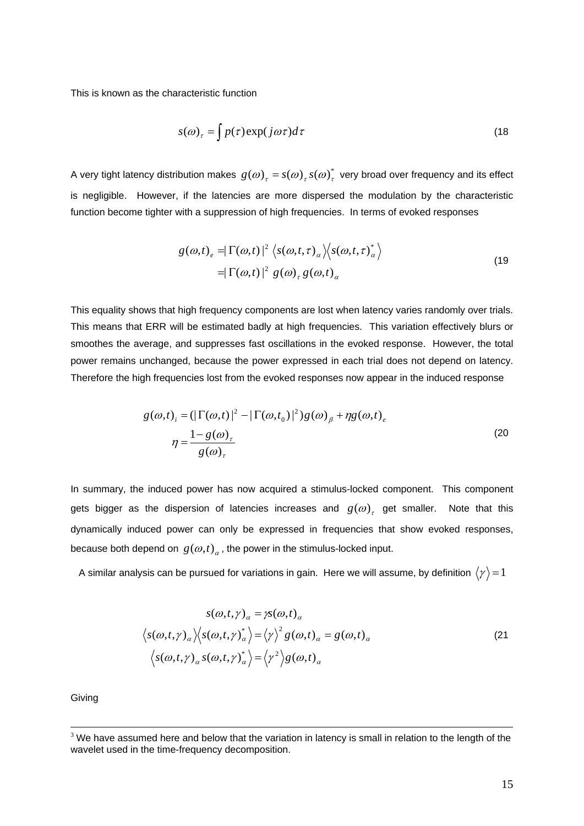This is known as the characteristic function

$$
s(\omega)_{\tau} = \int p(\tau) \exp(j\omega \tau) d\tau \tag{18}
$$

A very tight latency distribution makes  $g(\omega)_t = s(\omega)_t s(\omega)_t^*$  very broad over frequency and its effect is negligible. However, if the latencies are more dispersed the modulation by the characteristic function become tighter with a suppression of high frequencies. In terms of evoked responses

$$
g(\omega, t)_{e} = \left| \Gamma(\omega, t) \right|^{2} \left\langle s(\omega, t, \tau)_{\alpha} \right\rangle \left\langle s(\omega, t, \tau)_{\alpha}^{*} \right\rangle
$$
  
=  $\left| \Gamma(\omega, t) \right|^{2} g(\omega)_{\tau} g(\omega, t)_{\alpha}$  (19)

This equality shows that high frequency components are lost when latency varies randomly over trials. This means that ERR will be estimated badly at high frequencies. This variation effectively blurs or smoothes the average, and suppresses fast oscillations in the evoked response. However, the total power remains unchanged, because the power expressed in each trial does not depend on latency. Therefore the high frequencies lost from the evoked responses now appear in the induced response

$$
g(\omega, t)_i = (|\Gamma(\omega, t)|^2 - |\Gamma(\omega, t_0)|^2)g(\omega)_\beta + \eta g(\omega, t)_e
$$
  

$$
\eta = \frac{1 - g(\omega)_\tau}{g(\omega)_\tau}
$$
 (20)

In summary, the induced power has now acquired a stimulus-locked component. This component gets bigger as the dispersion of latencies increases and  $g(\omega)$ , get smaller. Note that this dynamically induced power can only be expressed in frequencies that show evoked responses, because both depend on  $g(\omega, t)_{\alpha}$ , the power in the stimulus-locked input.

A similar analysis can be pursued for variations in gain. Here we will assume, by definition  $\langle \gamma \rangle$  = 1

$$
s(\omega, t, \gamma)_{\alpha} = \gamma s(\omega, t)_{\alpha}
$$

$$
\langle s(\omega, t, \gamma)_{\alpha} \rangle \langle s(\omega, t, \gamma)_{\alpha}^{*} \rangle = \langle \gamma \rangle^{2} g(\omega, t)_{\alpha} = g(\omega, t)_{\alpha}
$$

$$
\langle s(\omega, t, \gamma)_{\alpha} s(\omega, t, \gamma)_{\alpha}^{*} \rangle = \langle \gamma^{2} \rangle g(\omega, t)_{\alpha}
$$
(21)

Giving

<sup>&</sup>lt;sup>3</sup> We have assumed here and below that the variation in latency is small in relation to the length of the wavelet used in the time-frequency decomposition.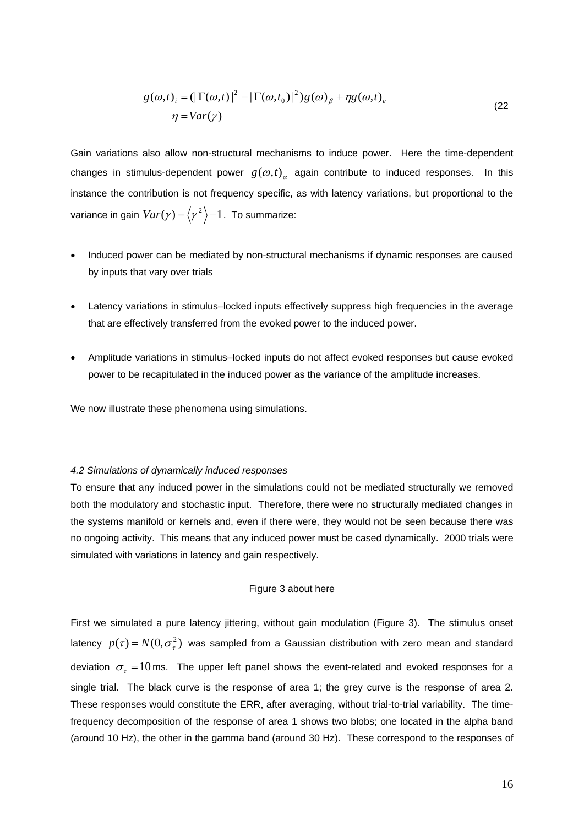$$
g(\omega, t)_i = (|\Gamma(\omega, t)|^2 - |\Gamma(\omega, t_0)|^2)g(\omega)_\beta + \eta g(\omega, t)_e
$$
  
\n
$$
\eta = Var(\gamma)
$$
\n(22)

Gain variations also allow non-structural mechanisms to induce power. Here the time-dependent changes in stimulus-dependent power  $g(\omega, t)_{\alpha}$  again contribute to induced responses. In this instance the contribution is not frequency specific, as with latency variations, but proportional to the variance in gain  $Var(\gamma) = \langle \gamma^2 \rangle - 1$ . To summarize:

- Induced power can be mediated by non-structural mechanisms if dynamic responses are caused by inputs that vary over trials
- Latency variations in stimulus–locked inputs effectively suppress high frequencies in the average that are effectively transferred from the evoked power to the induced power.
- Amplitude variations in stimulus–locked inputs do not affect evoked responses but cause evoked power to be recapitulated in the induced power as the variance of the amplitude increases.

We now illustrate these phenomena using simulations.

#### *4.2 Simulations of dynamically induced responses*

To ensure that any induced power in the simulations could not be mediated structurally we removed both the modulatory and stochastic input. Therefore, there were no structurally mediated changes in the systems manifold or kernels and, even if there were, they would not be seen because there was no ongoing activity. This means that any induced power must be cased dynamically. 2000 trials were simulated with variations in latency and gain respectively.

#### Figure 3 about here

First we simulated a pure latency jittering, without gain modulation (Figure 3). The stimulus onset latency  $p(\tau) = N(0, \sigma_{\tau}^2)$  was sampled from a Gaussian distribution with zero mean and standard deviation  $\sigma_z = 10$  ms. The upper left panel shows the event-related and evoked responses for a single trial. The black curve is the response of area 1; the grey curve is the response of area 2. These responses would constitute the ERR, after averaging, without trial-to-trial variability. The timefrequency decomposition of the response of area 1 shows two blobs; one located in the alpha band (around 10 Hz), the other in the gamma band (around 30 Hz). These correspond to the responses of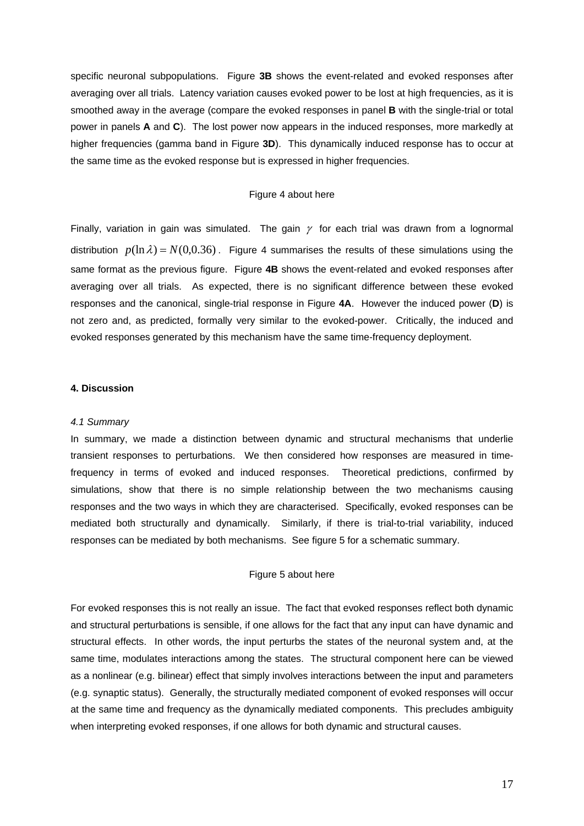specific neuronal subpopulations. Figure **3B** shows the event-related and evoked responses after averaging over all trials. Latency variation causes evoked power to be lost at high frequencies, as it is smoothed away in the average (compare the evoked responses in panel **B** with the single-trial or total power in panels **A** and **C**). The lost power now appears in the induced responses, more markedly at higher frequencies (gamma band in Figure **3D**). This dynamically induced response has to occur at the same time as the evoked response but is expressed in higher frequencies.

#### Figure 4 about here

Finally, variation in gain was simulated. The gain  $\gamma$  for each trial was drawn from a lognormal distribution  $p(\ln \lambda) = N(0,0.36)$ . Figure 4 summarises the results of these simulations using the same format as the previous figure. Figure **4B** shows the event-related and evoked responses after averaging over all trials. As expected, there is no significant difference between these evoked responses and the canonical, single-trial response in Figure **4A**.However the induced power (**D**) is not zero and, as predicted, formally very similar to the evoked-power. Critically, the induced and evoked responses generated by this mechanism have the same time-frequency deployment.

#### **4. Discussion**

#### *4.1 Summary*

In summary, we made a distinction between dynamic and structural mechanisms that underlie transient responses to perturbations. We then considered how responses are measured in timefrequency in terms of evoked and induced responses. Theoretical predictions, confirmed by simulations, show that there is no simple relationship between the two mechanisms causing responses and the two ways in which they are characterised. Specifically, evoked responses can be mediated both structurally and dynamically. Similarly, if there is trial-to-trial variability, induced responses can be mediated by both mechanisms. See figure 5 for a schematic summary.

#### Figure 5 about here

For evoked responses this is not really an issue. The fact that evoked responses reflect both dynamic and structural perturbations is sensible, if one allows for the fact that any input can have dynamic and structural effects. In other words, the input perturbs the states of the neuronal system and, at the same time, modulates interactions among the states. The structural component here can be viewed as a nonlinear (e.g. bilinear) effect that simply involves interactions between the input and parameters (e.g. synaptic status). Generally, the structurally mediated component of evoked responses will occur at the same time and frequency as the dynamically mediated components. This precludes ambiguity when interpreting evoked responses, if one allows for both dynamic and structural causes.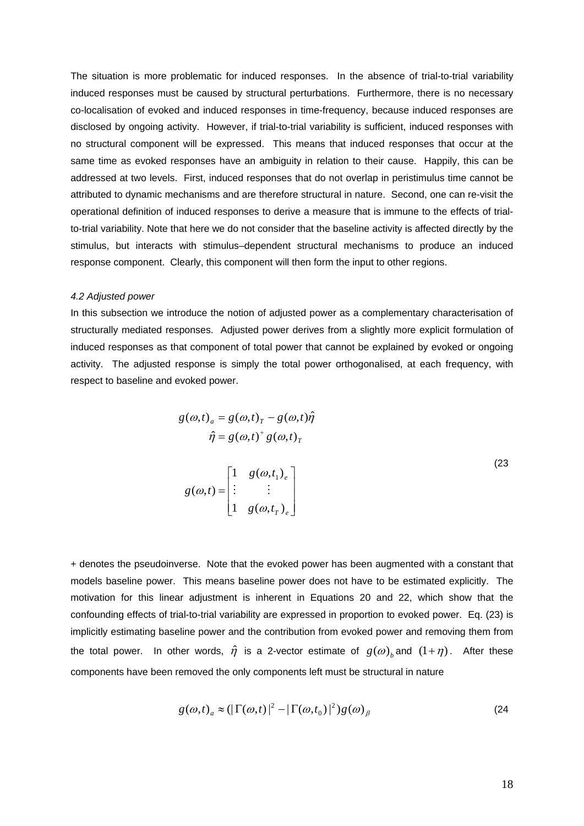The situation is more problematic for induced responses. In the absence of trial-to-trial variability induced responses must be caused by structural perturbations. Furthermore, there is no necessary co-localisation of evoked and induced responses in time-frequency, because induced responses are disclosed by ongoing activity. However, if trial-to-trial variability is sufficient, induced responses with no structural component will be expressed. This means that induced responses that occur at the same time as evoked responses have an ambiguity in relation to their cause. Happily, this can be addressed at two levels. First, induced responses that do not overlap in peristimulus time cannot be attributed to dynamic mechanisms and are therefore structural in nature. Second, one can re-visit the operational definition of induced responses to derive a measure that is immune to the effects of trialto-trial variability. Note that here we do not consider that the baseline activity is affected directly by the stimulus, but interacts with stimulus–dependent structural mechanisms to produce an induced response component. Clearly, this component will then form the input to other regions.

#### *4.2 Adjusted power*

In this subsection we introduce the notion of adjusted power as a complementary characterisation of structurally mediated responses. Adjusted power derives from a slightly more explicit formulation of induced responses as that component of total power that cannot be explained by evoked or ongoing activity. The adjusted response is simply the total power orthogonalised, at each frequency, with respect to baseline and evoked power.

$$
g(\omega, t)_a = g(\omega, t)_T - g(\omega, t)\hat{\eta}
$$

$$
\hat{\eta} = g(\omega, t)^+ g(\omega, t)_T
$$

$$
g(\omega, t) = \begin{bmatrix} 1 & g(\omega, t_1)_e \\ \vdots & \vdots \\ 1 & g(\omega, t_T)_e \end{bmatrix}
$$

(23

+ denotes the pseudoinverse. Note that the evoked power has been augmented with a constant that models baseline power. This means baseline power does not have to be estimated explicitly. The motivation for this linear adjustment is inherent in Equations 20 and 22, which show that the confounding effects of trial-to-trial variability are expressed in proportion to evoked power. Eq. (23) is implicitly estimating baseline power and the contribution from evoked power and removing them from the total power. In other words,  $\hat{\eta}$  is a 2-vector estimate of  $g(\omega)$  and  $(1+\eta)$ . After these components have been removed the only components left must be structural in nature

$$
g(\omega, t)_{a} \approx \left(\left|\Gamma(\omega, t)\right|^{2} - \left|\Gamma(\omega, t_{0})\right|^{2}\right)g(\omega)_{\beta} \tag{24}
$$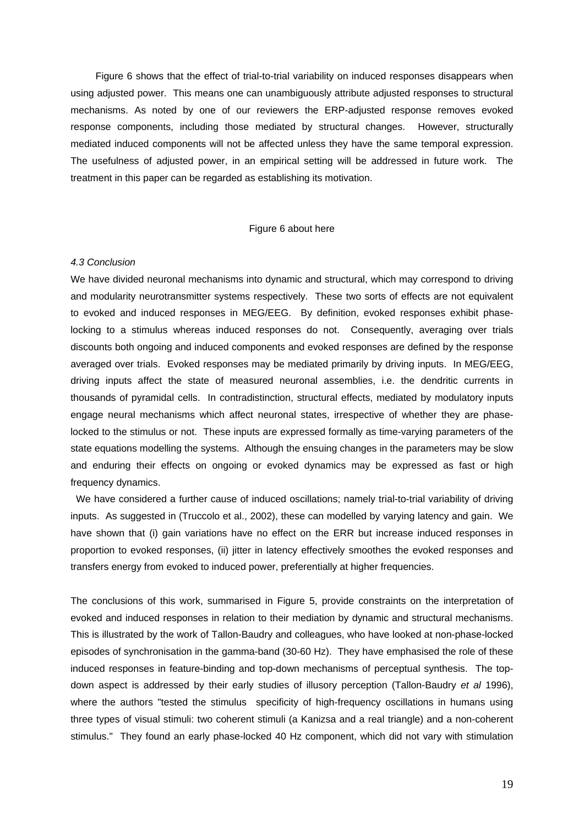Figure 6 shows that the effect of trial-to-trial variability on induced responses disappears when using adjusted power. This means one can unambiguously attribute adjusted responses to structural mechanisms. As noted by one of our reviewers the ERP-adjusted response removes evoked response components, including those mediated by structural changes. However, structurally mediated induced components will not be affected unless they have the same temporal expression. The usefulness of adjusted power, in an empirical setting will be addressed in future work. The treatment in this paper can be regarded as establishing its motivation.

#### Figure 6 about here

#### *4.3 Conclusion*

We have divided neuronal mechanisms into dynamic and structural, which may correspond to driving and modularity neurotransmitter systems respectively. These two sorts of effects are not equivalent to evoked and induced responses in MEG/EEG. By definition, evoked responses exhibit phaselocking to a stimulus whereas induced responses do not. Consequently, averaging over trials discounts both ongoing and induced components and evoked responses are defined by the response averaged over trials. Evoked responses may be mediated primarily by driving inputs. In MEG/EEG, driving inputs affect the state of measured neuronal assemblies, i.e. the dendritic currents in thousands of pyramidal cells. In contradistinction, structural effects, mediated by modulatory inputs engage neural mechanisms which affect neuronal states, irrespective of whether they are phaselocked to the stimulus or not. These inputs are expressed formally as time-varying parameters of the state equations modelling the systems. Although the ensuing changes in the parameters may be slow and enduring their effects on ongoing or evoked dynamics may be expressed as fast or high frequency dynamics.

We have considered a further cause of induced oscillations; namely trial-to-trial variability of driving inputs. As suggested in (Truccolo et al., 2002), these can modelled by varying latency and gain. We have shown that (i) gain variations have no effect on the ERR but increase induced responses in proportion to evoked responses, (ii) jitter in latency effectively smoothes the evoked responses and transfers energy from evoked to induced power, preferentially at higher frequencies.

The conclusions of this work, summarised in Figure 5, provide constraints on the interpretation of evoked and induced responses in relation to their mediation by dynamic and structural mechanisms. This is illustrated by the work of Tallon-Baudry and colleagues, who have looked at non-phase-locked episodes of synchronisation in the gamma-band (30-60 Hz). They have emphasised the role of these induced responses in feature-binding and top-down mechanisms of perceptual synthesis. The topdown aspect is addressed by their early studies of illusory perception (Tallon-Baudry *et al* 1996), where the authors "tested the stimulus specificity of high-frequency oscillations in humans using three types of visual stimuli: two coherent stimuli (a Kanizsa and a real triangle) and a non-coherent stimulus." They found an early phase-locked 40 Hz component, which did not vary with stimulation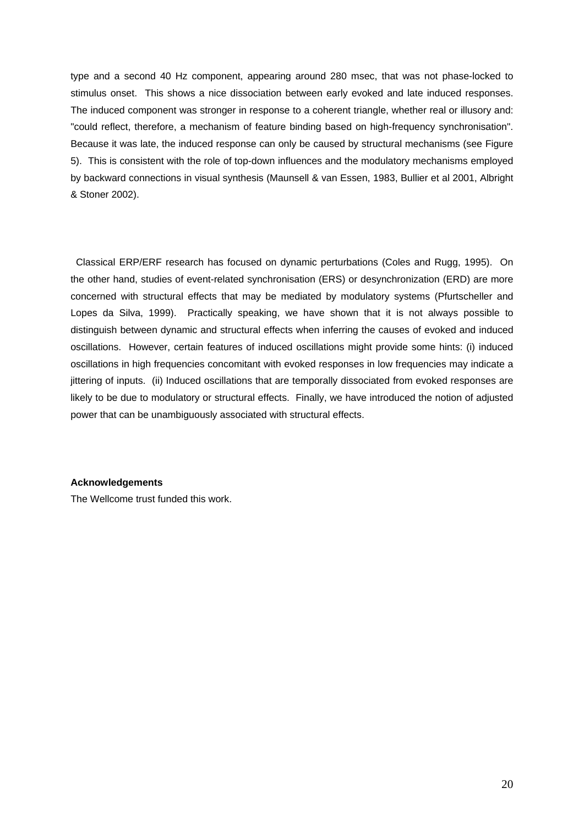type and a second 40 Hz component, appearing around 280 msec, that was not phase-locked to stimulus onset. This shows a nice dissociation between early evoked and late induced responses. The induced component was stronger in response to a coherent triangle, whether real or illusory and: "could reflect, therefore, a mechanism of feature binding based on high-frequency synchronisation". Because it was late, the induced response can only be caused by structural mechanisms (see Figure 5). This is consistent with the role of top-down influences and the modulatory mechanisms employed by backward connections in visual synthesis (Maunsell & van Essen, 1983, Bullier et al 2001, Albright & Stoner 2002).

 Classical ERP/ERF research has focused on dynamic perturbations (Coles and Rugg, 1995). On the other hand, studies of event-related synchronisation (ERS) or desynchronization (ERD) are more concerned with structural effects that may be mediated by modulatory systems (Pfurtscheller and Lopes da Silva, 1999). Practically speaking, we have shown that it is not always possible to distinguish between dynamic and structural effects when inferring the causes of evoked and induced oscillations. However, certain features of induced oscillations might provide some hints: (i) induced oscillations in high frequencies concomitant with evoked responses in low frequencies may indicate a jittering of inputs. (ii) Induced oscillations that are temporally dissociated from evoked responses are likely to be due to modulatory or structural effects. Finally, we have introduced the notion of adjusted power that can be unambiguously associated with structural effects.

#### **Acknowledgements**

The Wellcome trust funded this work.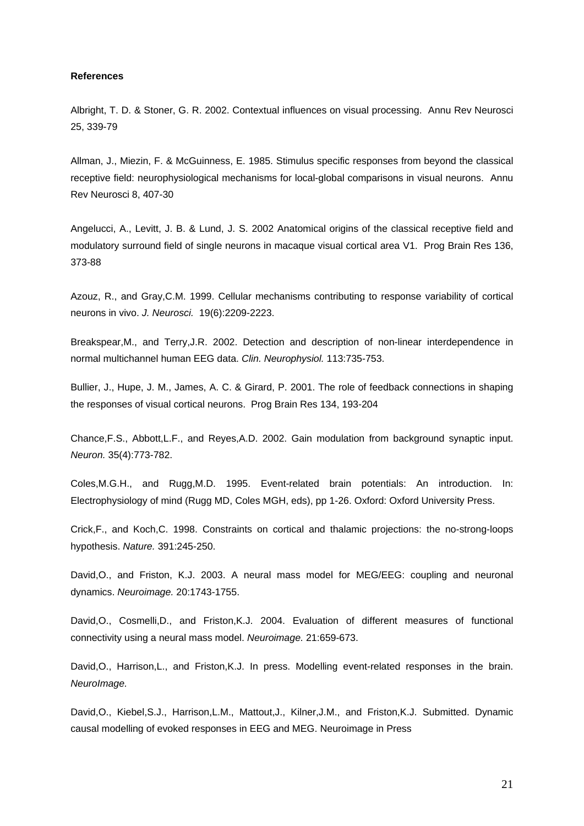#### **References**

Albright, T. D. & Stoner, G. R. 2002. Contextual influences on visual processing. Annu Rev Neurosci 25, 339-79

Allman, J., Miezin, F. & McGuinness, E. 1985. Stimulus specific responses from beyond the classical receptive field: neurophysiological mechanisms for local-global comparisons in visual neurons. Annu Rev Neurosci 8, 407-30

Angelucci, A., Levitt, J. B. & Lund, J. S. 2002 Anatomical origins of the classical receptive field and modulatory surround field of single neurons in macaque visual cortical area V1. Prog Brain Res 136, 373-88

Azouz, R., and Gray,C.M. 1999. Cellular mechanisms contributing to response variability of cortical neurons in vivo. *J. Neurosci.* 19(6):2209-2223.

Breakspear,M., and Terry,J.R. 2002. Detection and description of non-linear interdependence in normal multichannel human EEG data. *Clin. Neurophysiol.* 113:735-753.

Bullier, J., Hupe, J. M., James, A. C. & Girard, P. 2001. The role of feedback connections in shaping the responses of visual cortical neurons. Prog Brain Res 134, 193-204

Chance,F.S., Abbott,L.F., and Reyes,A.D. 2002. Gain modulation from background synaptic input. *Neuron.* 35(4):773-782.

Coles,M.G.H., and Rugg,M.D. 1995. Event-related brain potentials: An introduction. In: Electrophysiology of mind (Rugg MD, Coles MGH, eds), pp 1-26. Oxford: Oxford University Press.

Crick,F., and Koch,C. 1998. Constraints on cortical and thalamic projections: the no-strong-loops hypothesis. *Nature.* 391:245-250.

David,O., and Friston, K.J. 2003. A neural mass model for MEG/EEG: coupling and neuronal dynamics. *Neuroimage.* 20:1743-1755.

David,O., Cosmelli,D., and Friston,K.J. 2004. Evaluation of different measures of functional connectivity using a neural mass model. *Neuroimage.* 21:659-673.

David,O., Harrison,L., and Friston,K.J. In press. Modelling event-related responses in the brain. *NeuroImage.* 

David,O., Kiebel,S.J., Harrison,L.M., Mattout,J., Kilner,J.M., and Friston,K.J. Submitted. Dynamic causal modelling of evoked responses in EEG and MEG. Neuroimage in Press

21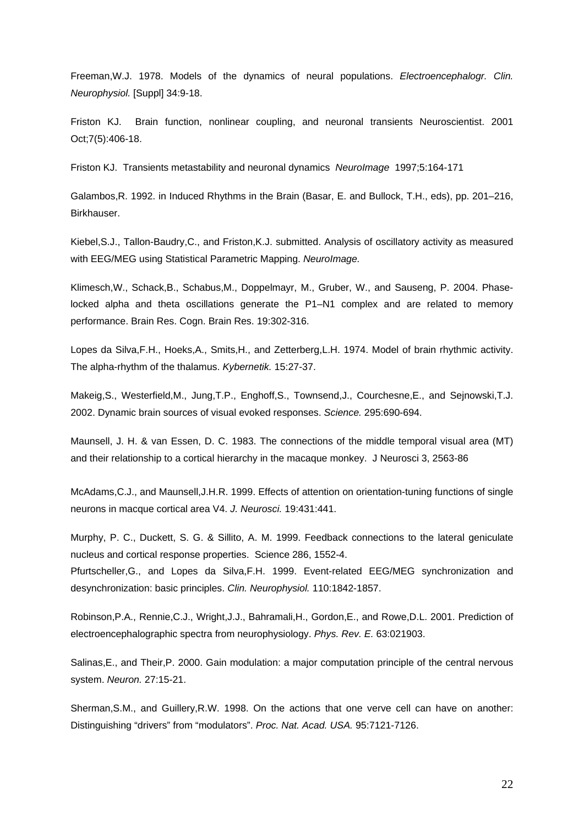Freeman,W.J. 1978. Models of the dynamics of neural populations. *Electroencephalogr. Clin. Neurophysiol.* [Suppl] 34:9-18.

Friston KJ. Brain function, nonlinear coupling, and neuronal transients Neuroscientist. 2001 Oct;7(5):406-18.

Friston KJ. Transients metastability and neuronal dynamics *NeuroImage* 1997;5:164-171

Galambos,R. 1992. in Induced Rhythms in the Brain (Basar, E. and Bullock, T.H., eds), pp. 201–216, Birkhauser.

Kiebel,S.J., Tallon-Baudry,C., and Friston,K.J. submitted. Analysis of oscillatory activity as measured with EEG/MEG using Statistical Parametric Mapping. *NeuroImage.*

Klimesch,W., Schack,B., Schabus,M., Doppelmayr, M., Gruber, W., and Sauseng, P. 2004. Phaselocked alpha and theta oscillations generate the P1–N1 complex and are related to memory performance. Brain Res. Cogn. Brain Res. 19:302-316.

Lopes da Silva,F.H., Hoeks,A., Smits,H., and Zetterberg,L.H. 1974. Model of brain rhythmic activity. The alpha-rhythm of the thalamus. *Kybernetik.* 15:27-37.

Makeig,S., Westerfield,M., Jung,T.P., Enghoff,S., Townsend,J., Courchesne,E., and Sejnowski,T.J. 2002. Dynamic brain sources of visual evoked responses. *Science.* 295:690-694.

Maunsell, J. H. & van Essen, D. C. 1983. The connections of the middle temporal visual area (MT) and their relationship to a cortical hierarchy in the macaque monkey. J Neurosci 3, 2563-86

McAdams,C.J., and Maunsell,J.H.R. 1999. Effects of attention on orientation-tuning functions of single neurons in macque cortical area V4. *J. Neurosci.* 19:431:441.

Murphy, P. C., Duckett, S. G. & Sillito, A. M. 1999. Feedback connections to the lateral geniculate nucleus and cortical response properties. Science 286, 1552-4.

Pfurtscheller,G., and Lopes da Silva,F.H. 1999. Event-related EEG/MEG synchronization and desynchronization: basic principles. *Clin. Neurophysiol.* 110:1842-1857.

Robinson,P.A., Rennie,C.J., Wright,J.J., Bahramali,H., Gordon,E., and Rowe,D.L. 2001. Prediction of electroencephalographic spectra from neurophysiology. *Phys. Rev. E.* 63:021903.

Salinas,E., and Their,P. 2000. Gain modulation: a major computation principle of the central nervous system. *Neuron.* 27:15-21.

Sherman,S.M., and Guillery,R.W. 1998. On the actions that one verve cell can have on another: Distinguishing "drivers" from "modulators". *Proc. Nat. Acad. USA.* 95:7121-7126.